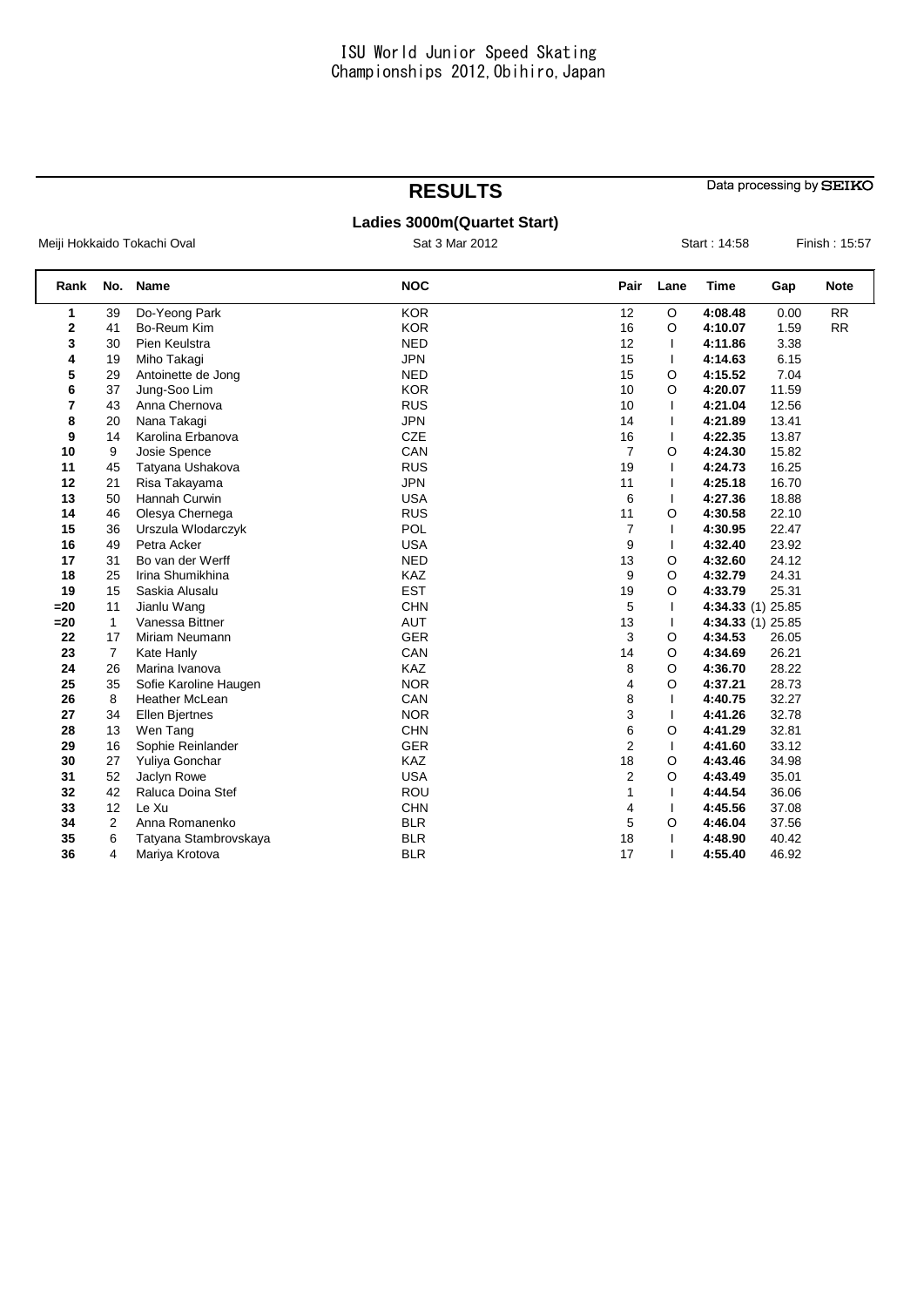## **RESULTS**

Data processing by SEIKO

## **Ladies 3000m(Quartet Start)**

Meiji Hokkaido Tokachi Oval **Sat 3 Mar 2012** Sat 3 Mar 2012 Start : 14:58 Finish : 15:57

| Rank  | No.            | <b>Name</b>           | <b>NOC</b> | Pair           | Lane    | <b>Time</b> | Gap               | <b>Note</b> |
|-------|----------------|-----------------------|------------|----------------|---------|-------------|-------------------|-------------|
| 1     | 39             | Do-Yeong Park         | <b>KOR</b> | 12             | $\circ$ | 4:08.48     | 0.00              | <b>RR</b>   |
| 2     | 41             | Bo-Reum Kim           | <b>KOR</b> | 16             | O       | 4:10.07     | 1.59              | RR          |
| 3     | 30             | Pien Keulstra         | <b>NED</b> | 12             | T       | 4:11.86     | 3.38              |             |
| 4     | 19             | Miho Takagi           | <b>JPN</b> | 15             |         | 4:14.63     | 6.15              |             |
| 5     | 29             | Antoinette de Jong    | <b>NED</b> | 15             | O       | 4:15.52     | 7.04              |             |
| 6     | 37             | Jung-Soo Lim          | <b>KOR</b> | 10             | O       | 4:20.07     | 11.59             |             |
| 7     | 43             | Anna Chernova         | <b>RUS</b> | 10             |         | 4:21.04     | 12.56             |             |
| 8     | 20             | Nana Takagi           | <b>JPN</b> | 14             |         | 4:21.89     | 13.41             |             |
| 9     | 14             | Karolina Erbanova     | CZE        | 16             |         | 4:22.35     | 13.87             |             |
| 10    | 9              | Josie Spence          | CAN        | $\overline{7}$ | O       | 4:24.30     | 15.82             |             |
| 11    | 45             | Tatyana Ushakova      | <b>RUS</b> | 19             | I.      | 4:24.73     | 16.25             |             |
| 12    | 21             | Risa Takayama         | <b>JPN</b> | 11             |         | 4:25.18     | 16.70             |             |
| 13    | 50             | Hannah Curwin         | <b>USA</b> | 6              | T       | 4:27.36     | 18.88             |             |
| 14    | 46             | Olesya Chernega       | <b>RUS</b> | 11             | O       | 4:30.58     | 22.10             |             |
| 15    | 36             | Urszula Włodarczyk    | POL        | 7              | I.      | 4:30.95     | 22.47             |             |
| 16    | 49             | Petra Acker           | <b>USA</b> | 9              | T       | 4:32.40     | 23.92             |             |
| 17    | 31             | Bo van der Werff      | <b>NED</b> | 13             | O       | 4:32.60     | 24.12             |             |
| 18    | 25             | Irina Shumikhina      | KAZ        | 9              | O       | 4:32.79     | 24.31             |             |
| 19    | 15             | Saskia Alusalu        | <b>EST</b> | 19             | O       | 4:33.79     | 25.31             |             |
| $=20$ | 11             | Jianlu Wang           | <b>CHN</b> | 5              |         |             | 4:34.33 (1) 25.85 |             |
| $=20$ | $\mathbf{1}$   | Vanessa Bittner       | <b>AUT</b> | 13             |         |             | 4:34.33 (1) 25.85 |             |
| 22    | 17             | Miriam Neumann        | <b>GER</b> | 3              | O       | 4:34.53     | 26.05             |             |
| 23    | $\overline{7}$ | Kate Hanly            | CAN        | 14             | O       | 4:34.69     | 26.21             |             |
| 24    | 26             | Marina Ivanova        | <b>KAZ</b> | 8              | O       | 4:36.70     | 28.22             |             |
| 25    | 35             | Sofie Karoline Haugen | <b>NOR</b> | 4              | O       | 4:37.21     | 28.73             |             |
| 26    | 8              | <b>Heather McLean</b> | CAN        | 8              |         | 4:40.75     | 32.27             |             |
| 27    | 34             | <b>Ellen Biertnes</b> | <b>NOR</b> | 3              | T       | 4:41.26     | 32.78             |             |
| 28    | 13             | Wen Tang              | <b>CHN</b> | 6              | O       | 4:41.29     | 32.81             |             |
| 29    | 16             | Sophie Reinlander     | <b>GER</b> | $\overline{2}$ | T       | 4:41.60     | 33.12             |             |
| 30    | 27             | Yuliya Gonchar        | KAZ        | 18             | O       | 4:43.46     | 34.98             |             |
| 31    | 52             | Jaclyn Rowe           | <b>USA</b> | $\overline{2}$ | O       | 4:43.49     | 35.01             |             |
| 32    | 42             | Raluca Doina Stef     | ROU        | 1              |         | 4:44.54     | 36.06             |             |
| 33    | 12             | Le Xu                 | <b>CHN</b> | 4              |         | 4:45.56     | 37.08             |             |
| 34    | $\overline{2}$ | Anna Romanenko        | <b>BLR</b> | 5              | O       | 4:46.04     | 37.56             |             |
| 35    | 6              | Tatyana Stambrovskaya | <b>BLR</b> | 18             |         | 4:48.90     | 40.42             |             |
| 36    | 4              | Mariya Krotova        | <b>BLR</b> | 17             |         | 4:55.40     | 46.92             |             |